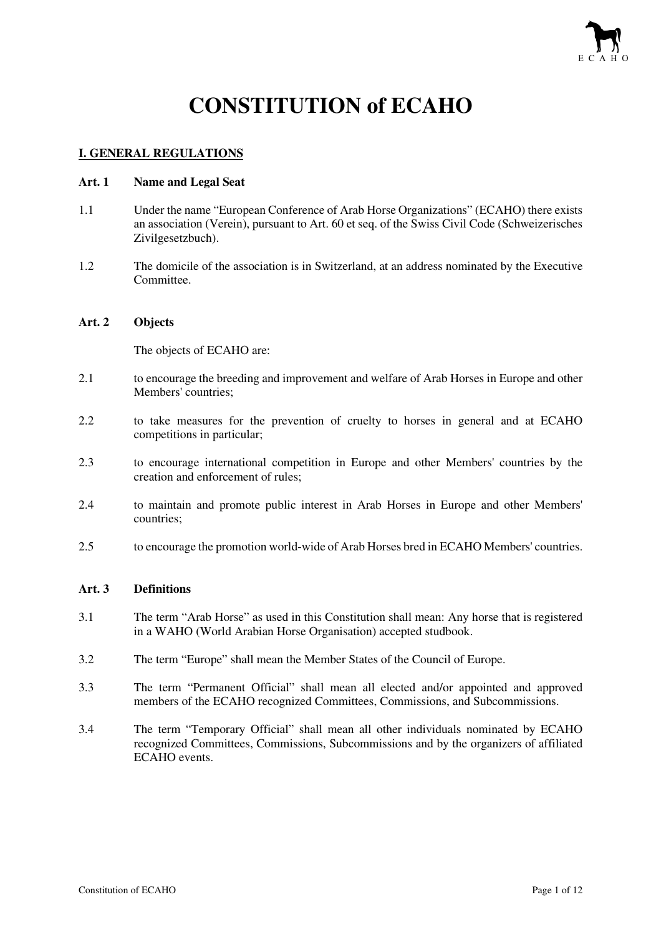

# **CONSTITUTION of ECAHO**

# **I. GENERAL REGULATIONS**

#### **Art. 1 Name and Legal Seat**

- 1.1 Under the name "European Conference of Arab Horse Organizations" (ECAHO) there exists an association (Verein), pursuant to Art. 60 et seq. of the Swiss Civil Code (Schweizerisches Zivilgesetzbuch).
- 1.2 The domicile of the association is in Switzerland, at an address nominated by the Executive Committee.

#### **Art. 2 Objects**

The objects of ECAHO are:

- 2.1 to encourage the breeding and improvement and welfare of Arab Horses in Europe and other Members' countries;
- 2.2 to take measures for the prevention of cruelty to horses in general and at ECAHO competitions in particular;
- 2.3 to encourage international competition in Europe and other Members' countries by the creation and enforcement of rules;
- 2.4 to maintain and promote public interest in Arab Horses in Europe and other Members' countries;
- 2.5 to encourage the promotion world-wide of Arab Horses bred in ECAHO Members' countries.

# **Art. 3 Definitions**

- 3.1 The term "Arab Horse" as used in this Constitution shall mean: Any horse that is registered in a WAHO (World Arabian Horse Organisation) accepted studbook.
- 3.2 The term "Europe" shall mean the Member States of the Council of Europe.
- 3.3 The term "Permanent Official" shall mean all elected and/or appointed and approved members of the ECAHO recognized Committees, Commissions, and Subcommissions.
- 3.4 The term "Temporary Official" shall mean all other individuals nominated by ECAHO recognized Committees, Commissions, Subcommissions and by the organizers of affiliated ECAHO events.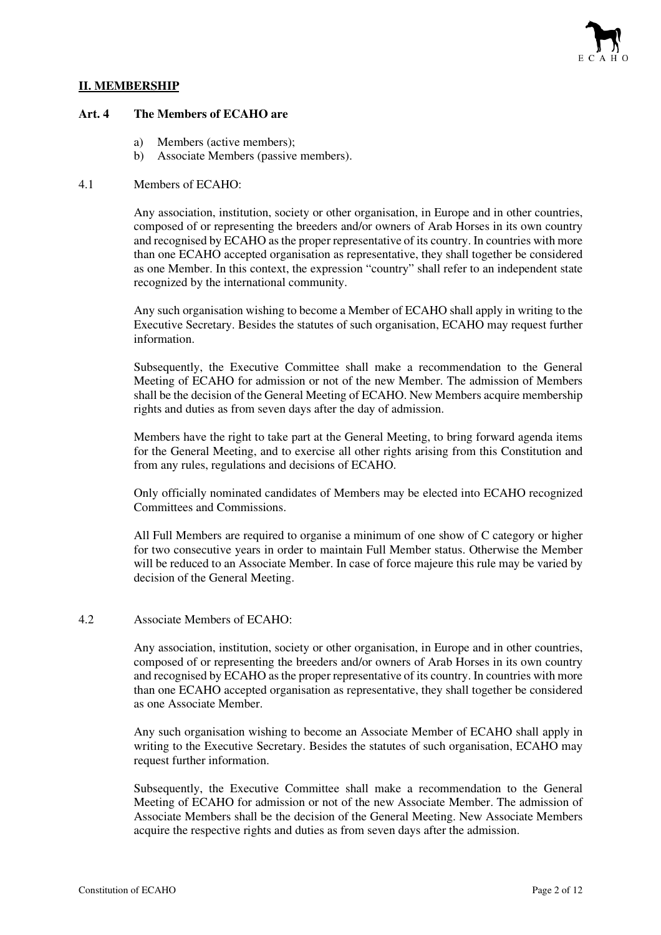# **II. MEMBERSHIP**

#### **Art. 4 The Members of ECAHO are**

- a) Members (active members);
- b) Associate Members (passive members).

#### 4.1 Members of ECAHO:

Any association, institution, society or other organisation, in Europe and in other countries, composed of or representing the breeders and/or owners of Arab Horses in its own country and recognised by ECAHO as the proper representative of its country. In countries with more than one ECAHO accepted organisation as representative, they shall together be considered as one Member. In this context, the expression "country" shall refer to an independent state recognized by the international community.

Any such organisation wishing to become a Member of ECAHO shall apply in writing to the Executive Secretary. Besides the statutes of such organisation, ECAHO may request further information.

Subsequently, the Executive Committee shall make a recommendation to the General Meeting of ECAHO for admission or not of the new Member. The admission of Members shall be the decision of the General Meeting of ECAHO. New Members acquire membership rights and duties as from seven days after the day of admission.

Members have the right to take part at the General Meeting, to bring forward agenda items for the General Meeting, and to exercise all other rights arising from this Constitution and from any rules, regulations and decisions of ECAHO.

Only officially nominated candidates of Members may be elected into ECAHO recognized Committees and Commissions.

All Full Members are required to organise a minimum of one show of C category or higher for two consecutive years in order to maintain Full Member status. Otherwise the Member will be reduced to an Associate Member. In case of force majeure this rule may be varied by decision of the General Meeting.

#### 4.2 Associate Members of ECAHO:

Any association, institution, society or other organisation, in Europe and in other countries, composed of or representing the breeders and/or owners of Arab Horses in its own country and recognised by ECAHO as the proper representative of its country. In countries with more than one ECAHO accepted organisation as representative, they shall together be considered as one Associate Member.

Any such organisation wishing to become an Associate Member of ECAHO shall apply in writing to the Executive Secretary. Besides the statutes of such organisation, ECAHO may request further information.

Subsequently, the Executive Committee shall make a recommendation to the General Meeting of ECAHO for admission or not of the new Associate Member. The admission of Associate Members shall be the decision of the General Meeting. New Associate Members acquire the respective rights and duties as from seven days after the admission.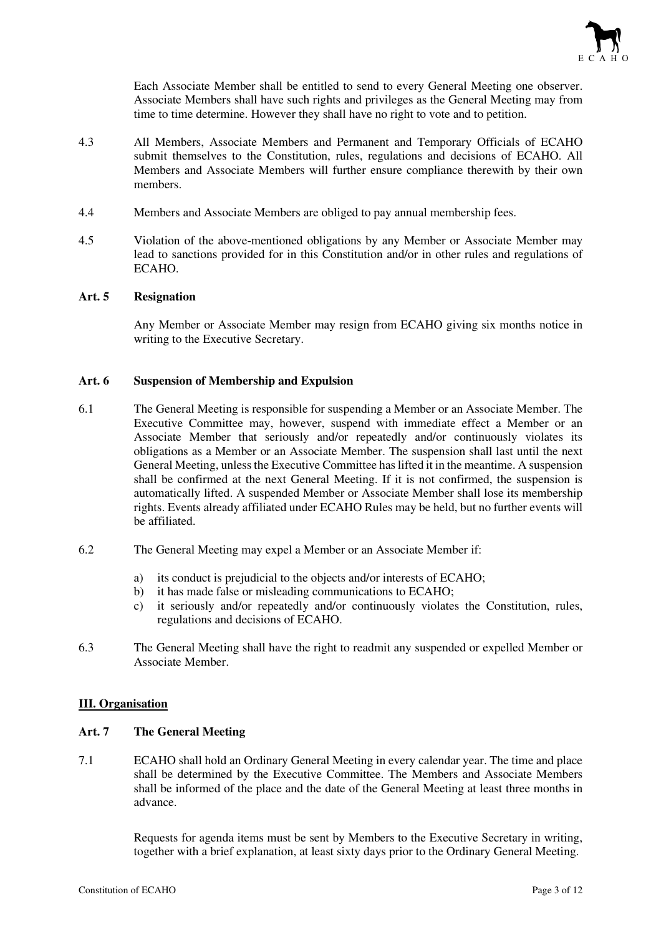

Each Associate Member shall be entitled to send to every General Meeting one observer. Associate Members shall have such rights and privileges as the General Meeting may from time to time determine. However they shall have no right to vote and to petition.

- 4.3 All Members, Associate Members and Permanent and Temporary Officials of ECAHO submit themselves to the Constitution, rules, regulations and decisions of ECAHO. All Members and Associate Members will further ensure compliance therewith by their own members.
- 4.4 Members and Associate Members are obliged to pay annual membership fees.
- 4.5 Violation of the above-mentioned obligations by any Member or Associate Member may lead to sanctions provided for in this Constitution and/or in other rules and regulations of ECAHO.

#### **Art. 5 Resignation**

Any Member or Associate Member may resign from ECAHO giving six months notice in writing to the Executive Secretary.

#### **Art. 6 Suspension of Membership and Expulsion**

- 6.1 The General Meeting is responsible for suspending a Member or an Associate Member. The Executive Committee may, however, suspend with immediate effect a Member or an Associate Member that seriously and/or repeatedly and/or continuously violates its obligations as a Member or an Associate Member. The suspension shall last until the next General Meeting, unless the Executive Committee has lifted it in the meantime. A suspension shall be confirmed at the next General Meeting. If it is not confirmed, the suspension is automatically lifted. A suspended Member or Associate Member shall lose its membership rights. Events already affiliated under ECAHO Rules may be held, but no further events will be affiliated.
- 6.2 The General Meeting may expel a Member or an Associate Member if:
	- a) its conduct is prejudicial to the objects and/or interests of ECAHO;
	- b) it has made false or misleading communications to ECAHO;
	- c) it seriously and/or repeatedly and/or continuously violates the Constitution, rules, regulations and decisions of ECAHO.
- 6.3 The General Meeting shall have the right to readmit any suspended or expelled Member or Associate Member.

# **III. Organisation**

# **Art. 7 The General Meeting**

7.1 ECAHO shall hold an Ordinary General Meeting in every calendar year. The time and place shall be determined by the Executive Committee. The Members and Associate Members shall be informed of the place and the date of the General Meeting at least three months in advance.

> Requests for agenda items must be sent by Members to the Executive Secretary in writing, together with a brief explanation, at least sixty days prior to the Ordinary General Meeting.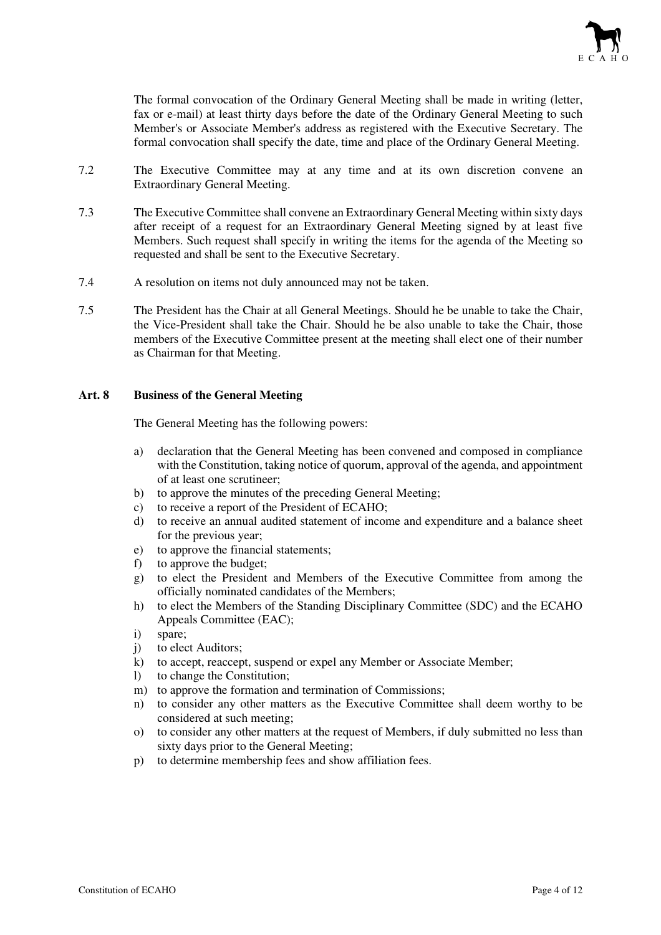

The formal convocation of the Ordinary General Meeting shall be made in writing (letter, fax or e-mail) at least thirty days before the date of the Ordinary General Meeting to such Member's or Associate Member's address as registered with the Executive Secretary. The formal convocation shall specify the date, time and place of the Ordinary General Meeting.

- 7.2 The Executive Committee may at any time and at its own discretion convene an Extraordinary General Meeting.
- 7.3 The Executive Committee shall convene an Extraordinary General Meeting within sixty days after receipt of a request for an Extraordinary General Meeting signed by at least five Members. Such request shall specify in writing the items for the agenda of the Meeting so requested and shall be sent to the Executive Secretary.
- 7.4 A resolution on items not duly announced may not be taken.
- 7.5 The President has the Chair at all General Meetings. Should he be unable to take the Chair, the Vice-President shall take the Chair. Should he be also unable to take the Chair, those members of the Executive Committee present at the meeting shall elect one of their number as Chairman for that Meeting.

#### **Art. 8 Business of the General Meeting**

The General Meeting has the following powers:

- a) declaration that the General Meeting has been convened and composed in compliance with the Constitution, taking notice of quorum, approval of the agenda, and appointment of at least one scrutineer;
- b) to approve the minutes of the preceding General Meeting:
- c) to receive a report of the President of ECAHO;
- d) to receive an annual audited statement of income and expenditure and a balance sheet for the previous year;
- e) to approve the financial statements;
- f) to approve the budget;
- g) to elect the President and Members of the Executive Committee from among the officially nominated candidates of the Members;
- h) to elect the Members of the Standing Disciplinary Committee (SDC) and the ECAHO Appeals Committee (EAC);
- i) spare;
- j) to elect Auditors;
- k) to accept, reaccept, suspend or expel any Member or Associate Member;
- l) to change the Constitution;
- m) to approve the formation and termination of Commissions;
- n) to consider any other matters as the Executive Committee shall deem worthy to be considered at such meeting;
- o) to consider any other matters at the request of Members, if duly submitted no less than sixty days prior to the General Meeting;
- p) to determine membership fees and show affiliation fees.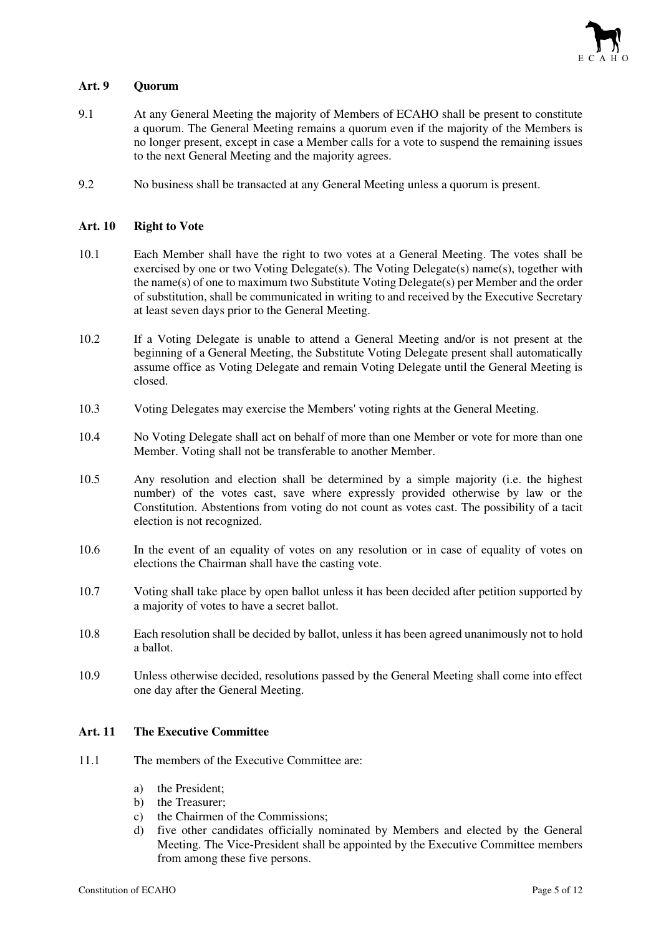

# **Art. 9 Quorum**

- 9.1 At any General Meeting the majority of Members of ECAHO shall be present to constitute a quorum. The General Meeting remains a quorum even if the majority of the Members is no longer present, except in case a Member calls for a vote to suspend the remaining issues to the next General Meeting and the majority agrees.
- 9.2 No business shall be transacted at any General Meeting unless a quorum is present.

#### **Art. 10 Right to Vote**

- 10.1 Each Member shall have the right to two votes at a General Meeting. The votes shall be exercised by one or two Voting Delegate(s). The Voting Delegate(s) name(s), together with the name(s) of one to maximum two Substitute Voting Delegate(s) per Member and the order of substitution, shall be communicated in writing to and received by the Executive Secretary at least seven days prior to the General Meeting.
- 10.2 If a Voting Delegate is unable to attend a General Meeting and/or is not present at the beginning of a General Meeting, the Substitute Voting Delegate present shall automatically assume office as Voting Delegate and remain Voting Delegate until the General Meeting is closed.
- 10.3 Voting Delegates may exercise the Members' voting rights at the General Meeting.
- 10.4 No Voting Delegate shall act on behalf of more than one Member or vote for more than one Member. Voting shall not be transferable to another Member.
- 10.5 Any resolution and election shall be determined by a simple majority (i.e. the highest number) of the votes cast, save where expressly provided otherwise by law or the Constitution. Abstentions from voting do not count as votes cast. The possibility of a tacit election is not recognized.
- 10.6 In the event of an equality of votes on any resolution or in case of equality of votes on elections the Chairman shall have the casting vote.
- 10.7 Voting shall take place by open ballot unless it has been decided after petition supported by a majority of votes to have a secret ballot.
- 10.8 Each resolution shall be decided by ballot, unless it has been agreed unanimously not to hold a ballot.
- 10.9 Unless otherwise decided, resolutions passed by the General Meeting shall come into effect one day after the General Meeting.

# **Art. 11 The Executive Committee**

- 11.1 The members of the Executive Committee are:
	- a) the President;
	- b) the Treasurer;
	- c) the Chairmen of the Commissions;
	- d) five other candidates officially nominated by Members and elected by the General Meeting. The Vice-President shall be appointed by the Executive Committee members from among these five persons.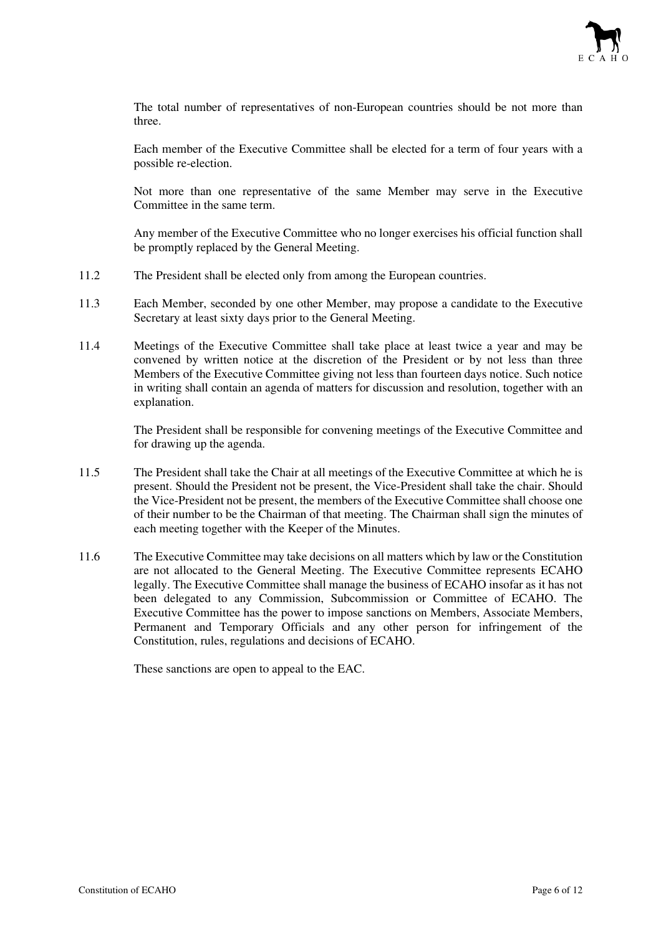

The total number of representatives of non-European countries should be not more than three.

Each member of the Executive Committee shall be elected for a term of four years with a possible re-election.

Not more than one representative of the same Member may serve in the Executive Committee in the same term.

Any member of the Executive Committee who no longer exercises his official function shall be promptly replaced by the General Meeting.

- 11.2 The President shall be elected only from among the European countries.
- 11.3 Each Member, seconded by one other Member, may propose a candidate to the Executive Secretary at least sixty days prior to the General Meeting.
- 11.4 Meetings of the Executive Committee shall take place at least twice a year and may be convened by written notice at the discretion of the President or by not less than three Members of the Executive Committee giving not less than fourteen days notice. Such notice in writing shall contain an agenda of matters for discussion and resolution, together with an explanation.

The President shall be responsible for convening meetings of the Executive Committee and for drawing up the agenda.

- 11.5 The President shall take the Chair at all meetings of the Executive Committee at which he is present. Should the President not be present, the Vice-President shall take the chair. Should the Vice-President not be present, the members of the Executive Committee shall choose one of their number to be the Chairman of that meeting. The Chairman shall sign the minutes of each meeting together with the Keeper of the Minutes.
- 11.6 The Executive Committee may take decisions on all matters which by law or the Constitution are not allocated to the General Meeting. The Executive Committee represents ECAHO legally. The Executive Committee shall manage the business of ECAHO insofar as it has not been delegated to any Commission, Subcommission or Committee of ECAHO. The Executive Committee has the power to impose sanctions on Members, Associate Members, Permanent and Temporary Officials and any other person for infringement of the Constitution, rules, regulations and decisions of ECAHO.

These sanctions are open to appeal to the EAC.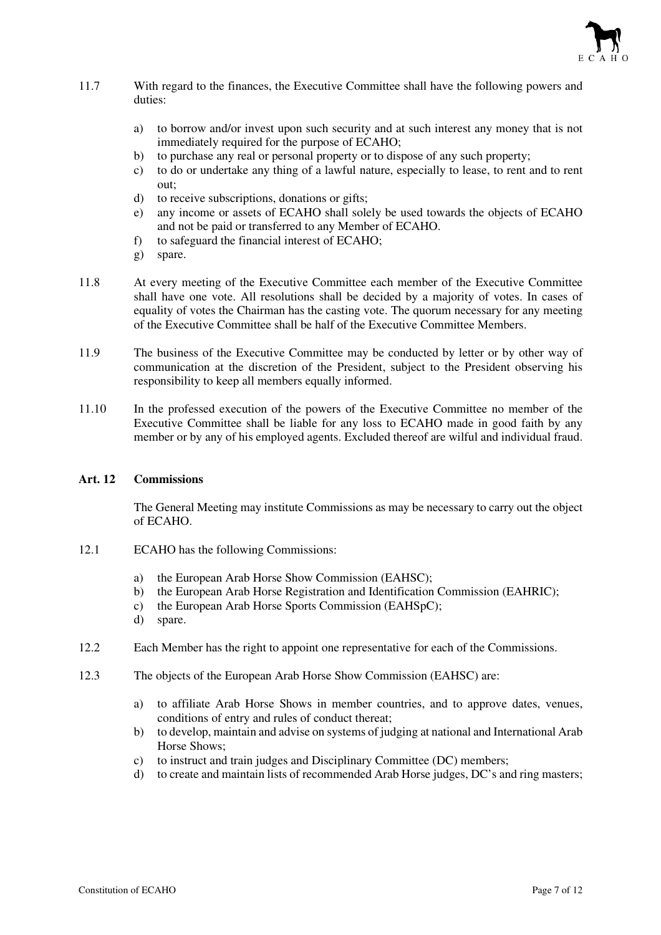

- 11.7 With regard to the finances, the Executive Committee shall have the following powers and duties:
	- a) to borrow and/or invest upon such security and at such interest any money that is not immediately required for the purpose of ECAHO;
	- b) to purchase any real or personal property or to dispose of any such property;
	- c) to do or undertake any thing of a lawful nature, especially to lease, to rent and to rent out;
	- d) to receive subscriptions, donations or gifts;
	- e) any income or assets of ECAHO shall solely be used towards the objects of ECAHO and not be paid or transferred to any Member of ECAHO.
	- f) to safeguard the financial interest of ECAHO;
	- g) spare.
- 11.8 At every meeting of the Executive Committee each member of the Executive Committee shall have one vote. All resolutions shall be decided by a majority of votes. In cases of equality of votes the Chairman has the casting vote. The quorum necessary for any meeting of the Executive Committee shall be half of the Executive Committee Members.
- 11.9 The business of the Executive Committee may be conducted by letter or by other way of communication at the discretion of the President, subject to the President observing his responsibility to keep all members equally informed.
- 11.10 In the professed execution of the powers of the Executive Committee no member of the Executive Committee shall be liable for any loss to ECAHO made in good faith by any member or by any of his employed agents. Excluded thereof are wilful and individual fraud.

# **Art. 12 Commissions**

The General Meeting may institute Commissions as may be necessary to carry out the object of ECAHO.

- 12.1 ECAHO has the following Commissions:
	- a) the European Arab Horse Show Commission (EAHSC);
	- b) the European Arab Horse Registration and Identification Commission (EAHRIC);
	- c) the European Arab Horse Sports Commission (EAHSpC);
	- d) spare.
- 12.2 Each Member has the right to appoint one representative for each of the Commissions.
- 12.3 The objects of the European Arab Horse Show Commission (EAHSC) are:
	- a) to affiliate Arab Horse Shows in member countries, and to approve dates, venues, conditions of entry and rules of conduct thereat;
	- b) to develop, maintain and advise on systems of judging at national and International Arab Horse Shows;
	- c) to instruct and train judges and Disciplinary Committee (DC) members;
	- d) to create and maintain lists of recommended Arab Horse judges, DC's and ring masters;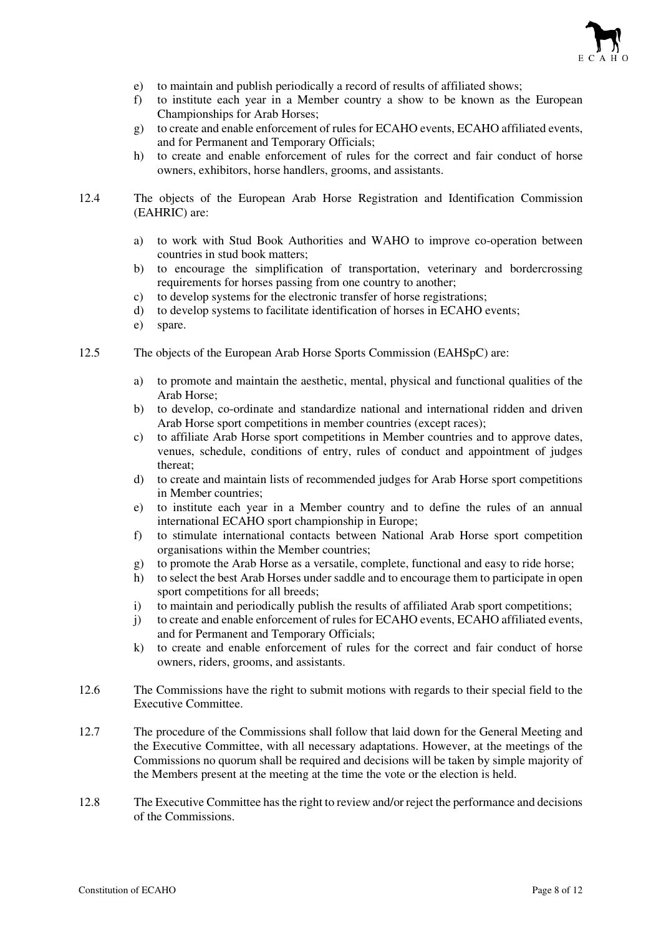

- e) to maintain and publish periodically a record of results of affiliated shows;
- f) to institute each year in a Member country a show to be known as the European Championships for Arab Horses;
- g) to create and enable enforcement of rules for ECAHO events, ECAHO affiliated events, and for Permanent and Temporary Officials;
- h) to create and enable enforcement of rules for the correct and fair conduct of horse owners, exhibitors, horse handlers, grooms, and assistants.
- 12.4 The objects of the European Arab Horse Registration and Identification Commission (EAHRIC) are:
	- a) to work with Stud Book Authorities and WAHO to improve co-operation between countries in stud book matters;
	- b) to encourage the simplification of transportation, veterinary and bordercrossing requirements for horses passing from one country to another;
	- c) to develop systems for the electronic transfer of horse registrations;
	- d) to develop systems to facilitate identification of horses in ECAHO events;
	- e) spare.
- 12.5 The objects of the European Arab Horse Sports Commission (EAHSpC) are:
	- a) to promote and maintain the aesthetic, mental, physical and functional qualities of the Arab Horse;
	- b) to develop, co-ordinate and standardize national and international ridden and driven Arab Horse sport competitions in member countries (except races);
	- c) to affiliate Arab Horse sport competitions in Member countries and to approve dates, venues, schedule, conditions of entry, rules of conduct and appointment of judges thereat;
	- d) to create and maintain lists of recommended judges for Arab Horse sport competitions in Member countries;
	- e) to institute each year in a Member country and to define the rules of an annual international ECAHO sport championship in Europe;
	- f) to stimulate international contacts between National Arab Horse sport competition organisations within the Member countries;
	- g) to promote the Arab Horse as a versatile, complete, functional and easy to ride horse;
	- h) to select the best Arab Horses under saddle and to encourage them to participate in open sport competitions for all breeds;
	- i) to maintain and periodically publish the results of affiliated Arab sport competitions;
	- j) to create and enable enforcement of rules for ECAHO events, ECAHO affiliated events, and for Permanent and Temporary Officials;
	- k) to create and enable enforcement of rules for the correct and fair conduct of horse owners, riders, grooms, and assistants.
- 12.6 The Commissions have the right to submit motions with regards to their special field to the Executive Committee.
- 12.7 The procedure of the Commissions shall follow that laid down for the General Meeting and the Executive Committee, with all necessary adaptations. However, at the meetings of the Commissions no quorum shall be required and decisions will be taken by simple majority of the Members present at the meeting at the time the vote or the election is held.
- 12.8 The Executive Committee has the right to review and/or reject the performance and decisions of the Commissions.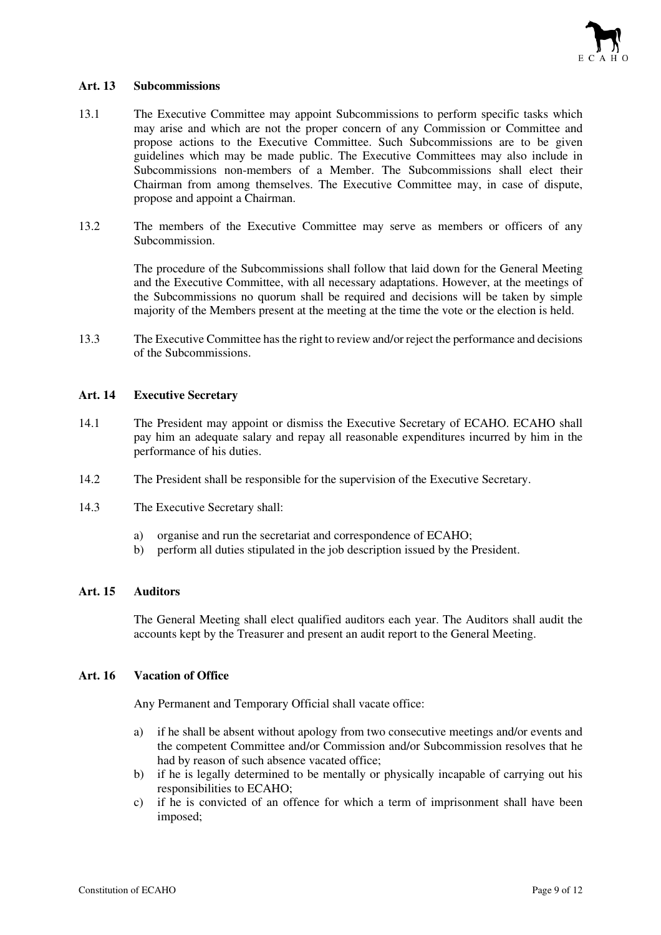

#### **Art. 13 Subcommissions**

- 13.1 The Executive Committee may appoint Subcommissions to perform specific tasks which may arise and which are not the proper concern of any Commission or Committee and propose actions to the Executive Committee. Such Subcommissions are to be given guidelines which may be made public. The Executive Committees may also include in Subcommissions non-members of a Member. The Subcommissions shall elect their Chairman from among themselves. The Executive Committee may, in case of dispute, propose and appoint a Chairman.
- 13.2 The members of the Executive Committee may serve as members or officers of any Subcommission.

The procedure of the Subcommissions shall follow that laid down for the General Meeting and the Executive Committee, with all necessary adaptations. However, at the meetings of the Subcommissions no quorum shall be required and decisions will be taken by simple majority of the Members present at the meeting at the time the vote or the election is held.

13.3 The Executive Committee has the right to review and/or reject the performance and decisions of the Subcommissions.

#### **Art. 14 Executive Secretary**

- 14.1 The President may appoint or dismiss the Executive Secretary of ECAHO. ECAHO shall pay him an adequate salary and repay all reasonable expenditures incurred by him in the performance of his duties.
- 14.2 The President shall be responsible for the supervision of the Executive Secretary.
- 14.3 The Executive Secretary shall:
	- a) organise and run the secretariat and correspondence of ECAHO;
	- b) perform all duties stipulated in the job description issued by the President.

# **Art. 15 Auditors**

The General Meeting shall elect qualified auditors each year. The Auditors shall audit the accounts kept by the Treasurer and present an audit report to the General Meeting.

# **Art. 16 Vacation of Office**

Any Permanent and Temporary Official shall vacate office:

- a) if he shall be absent without apology from two consecutive meetings and/or events and the competent Committee and/or Commission and/or Subcommission resolves that he had by reason of such absence vacated office;
- b) if he is legally determined to be mentally or physically incapable of carrying out his responsibilities to ECAHO;
- c) if he is convicted of an offence for which a term of imprisonment shall have been imposed;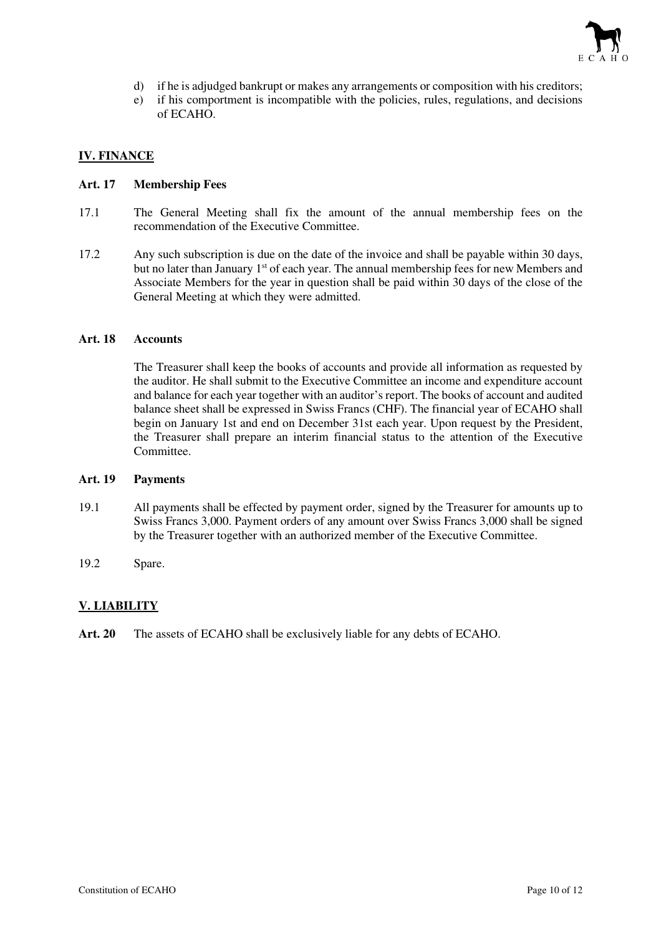

- d) if he is adjudged bankrupt or makes any arrangements or composition with his creditors;
- e) if his comportment is incompatible with the policies, rules, regulations, and decisions of ECAHO.

# **IV. FINANCE**

#### **Art. 17 Membership Fees**

- 17.1 The General Meeting shall fix the amount of the annual membership fees on the recommendation of the Executive Committee.
- 17.2 Any such subscription is due on the date of the invoice and shall be payable within 30 days, but no later than January 1<sup>st</sup> of each year. The annual membership fees for new Members and Associate Members for the year in question shall be paid within 30 days of the close of the General Meeting at which they were admitted.

#### **Art. 18 Accounts**

The Treasurer shall keep the books of accounts and provide all information as requested by the auditor. He shall submit to the Executive Committee an income and expenditure account and balance for each year together with an auditor's report. The books of account and audited balance sheet shall be expressed in Swiss Francs (CHF). The financial year of ECAHO shall begin on January 1st and end on December 31st each year. Upon request by the President, the Treasurer shall prepare an interim financial status to the attention of the Executive Committee.

# **Art. 19 Payments**

- 19.1 All payments shall be effected by payment order, signed by the Treasurer for amounts up to Swiss Francs 3,000. Payment orders of any amount over Swiss Francs 3,000 shall be signed by the Treasurer together with an authorized member of the Executive Committee.
- 19.2 Spare.

# **V. LIABILITY**

**Art. 20** The assets of ECAHO shall be exclusively liable for any debts of ECAHO.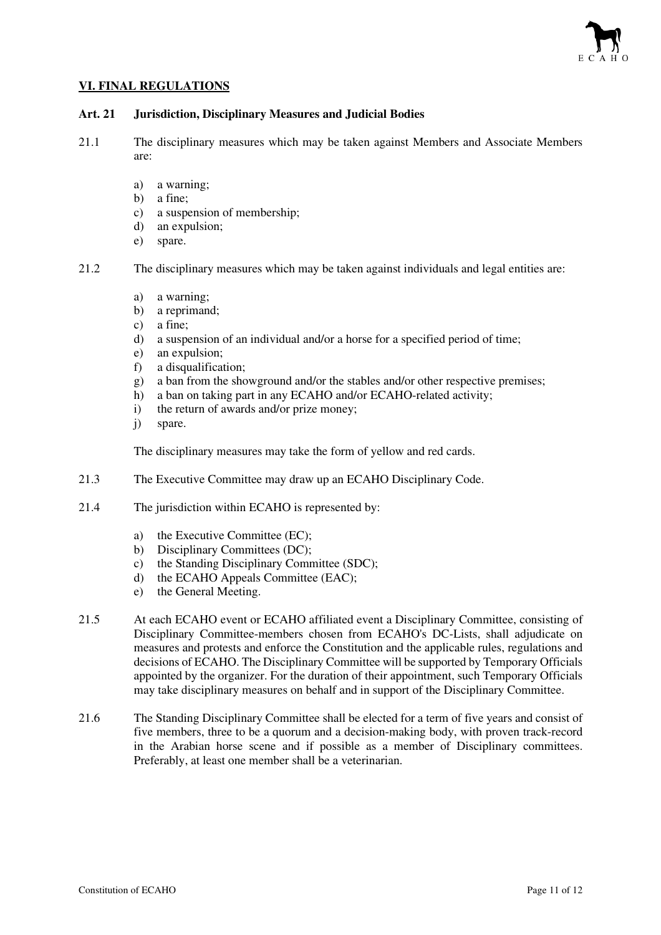

# **VI. FINAL REGULATIONS**

# **Art. 21 Jurisdiction, Disciplinary Measures and Judicial Bodies**

- 21.1 The disciplinary measures which may be taken against Members and Associate Members are:
	- a) a warning;
	- b) a fine;
	- c) a suspension of membership;
	- d) an expulsion;
	- e) spare.

21.2 The disciplinary measures which may be taken against individuals and legal entities are:

- a) a warning;
- b) a reprimand;
- c) a fine;
- d) a suspension of an individual and/or a horse for a specified period of time;
- e) an expulsion;
- f) a disqualification;
- g) a ban from the showground and/or the stables and/or other respective premises;
- h) a ban on taking part in any ECAHO and/or ECAHO-related activity;
- i) the return of awards and/or prize money;
- j) spare.

The disciplinary measures may take the form of yellow and red cards.

- 21.3 The Executive Committee may draw up an ECAHO Disciplinary Code.
- 21.4 The jurisdiction within ECAHO is represented by:
	- a) the Executive Committee (EC);
	- b) Disciplinary Committees (DC);
	- c) the Standing Disciplinary Committee (SDC);
	- d) the ECAHO Appeals Committee (EAC);
	- e) the General Meeting.
- 21.5 At each ECAHO event or ECAHO affiliated event a Disciplinary Committee, consisting of Disciplinary Committee-members chosen from ECAHO's DC-Lists, shall adjudicate on measures and protests and enforce the Constitution and the applicable rules, regulations and decisions of ECAHO. The Disciplinary Committee will be supported by Temporary Officials appointed by the organizer. For the duration of their appointment, such Temporary Officials may take disciplinary measures on behalf and in support of the Disciplinary Committee.
- 21.6 The Standing Disciplinary Committee shall be elected for a term of five years and consist of five members, three to be a quorum and a decision-making body, with proven track-record in the Arabian horse scene and if possible as a member of Disciplinary committees. Preferably, at least one member shall be a veterinarian.